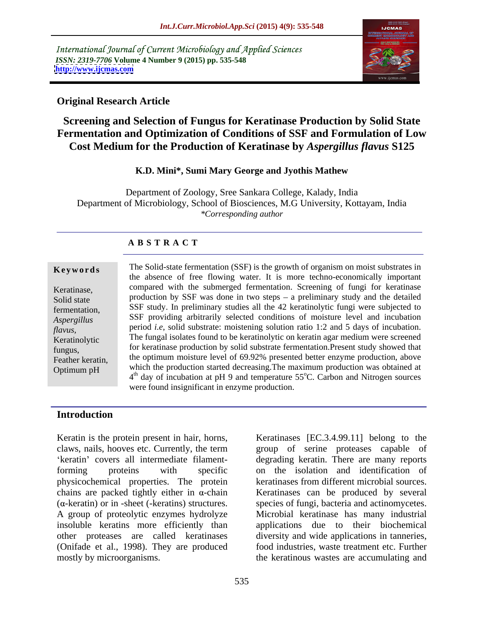International Journal of Current Microbiology and Applied Sciences *ISSN: 2319-7706* **Volume 4 Number 9 (2015) pp. 535-548 <http://www.ijcmas.com>**



### **Original Research Article**

### **Screening and Selection of Fungus for Keratinase Production by Solid State Fermentation and Optimization of Conditions of SSF and Formulation of Low Cost Medium for the Production of Keratinase by** *Aspergillus flavus* **S125**

### **K.D. Mini\*, Sumi Mary George and Jyothis Mathew**

Department of Zoology, Sree Sankara College, Kalady, India Department of Microbiology, School of Biosciences, M.G University, Kottayam, India *\*Corresponding author*

### **A B S T R A C T**

Optimum pH

**Keywords** The Solid-state fermentation (SSF) is the growth of organism on moist substrates in the absence of free flowing water. It is more techno-economically important compared with the submerged fermentation. Screening of fungi for keratinase Keratinase, Solid state  $\frac{1}{2}$  production by SSF was done in two steps – a preliminary study and the detailed fermentation, SSF study. In preliminary studies all the 42 keratinolytic fungi were subjected to SSF providing arbitrarily selected conditions of moisture level and incubation *Aspergillus*  period *i.e*, solid substrate: moistening solution ratio 1:2 and 5 days of incubation. *flavus,* Keratinolytic The fungal isolates found to be keratinolytic on keratin agar medium were screened fungus, for keratinase production by solid substrate fermentation. Present study showed that Feather keratin, the optimum moisture level of 69.92% presented better enzyme production, above which the production started decreasing.The maximum production was obtained at 4<sup>th</sup> day of incubation at pH 9 and temperature 55<sup>o</sup>C. Carbon and Nitrogen sources were found insignificant in enzyme production.

### **Introduction**

Keratin is the protein present in hair, horns, claws, nails, hooves etc. Currently, the term group of serine proteases capable of forming proteins with specific on the isolation and identification of physicochemical properties. The protein chains are packed tightly either in  $\alpha$ -chain Keratinases can be produced by several  $(\alpha$ -keratin) or in -sheet (-keratins) structures. species of fungi, bacteria and actinomycetes. A group of proteolytic enzymes hydrolyze insoluble keratins more efficiently than applications due to their biochemical other proteases are called keratinases diversity and wide applications in tanneries, (Onifade et al., 1998). They are produced mostly by microorganisms. the keratinous wastes are accumulating and

keratin' covers all intermediate filament-<br>degrading keratin. There are many reports Keratinases [EC.3.4.99.11] belong to the keratinases from different microbial sources. Microbial keratinase has many industrial food industries, waste treatment etc. Further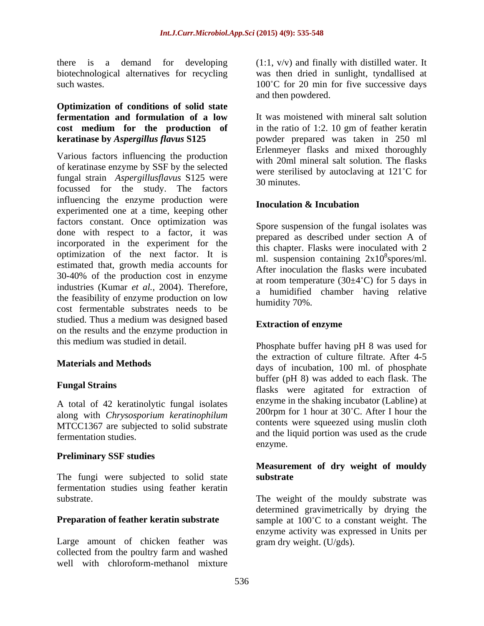# **Optimization of conditions of solid state**

Various factors influencing the production of keratinase enzyme by SSF by the selected fungal strain *Aspergillusflavus* S125 were focussed for the study. The factors influencing the enzyme production were **Inoculation & Incubation** experimented one at a time, keeping other factors constant. Once optimization was done with respect to a factor, it was incorporated in the experiment for the optimization of the next factor. It is  $\frac{m}{2}$  ml. suspension containing  $2x10^8$  spores/ml. estimated that, growth media accounts for 30-40% of the production cost in enzyme industries (Kumar *et al.*, 2004). Therefore, the feasibility of enzyme production on low cost fermentable substrates needs to be studied. Thus a medium was designed based<br> **Extraction of enzyme** on the results and the enzyme production in this medium was studied in detail.

A total of 42 keratinolytic fungal isolates along with *Chrysosporium keratinophilum* MTCC1367 are subjected to solid substrate

### **Preliminary SSF studies**

The fungi were subjected to solid state substrate fermentation studies using feather keratin

Large amount of chicken feather was collected from the poultry farm and washed well with chloroform-methanol mixture

there is a demand for developing (1:1, v/v) and finally with distilled water. It biotechnological alternatives for recycling was then dried in sunlight, tyndallised at such wastes.  $100^{\circ}$ C for 20 min for five successive days and then powdered.

**fermentation and formulation of a low** It was moistened with mineral salt solution **cost medium for the production of keratinase by** *Aspergillus flavus* **S125** powder prepared was taken in 250 ml in the ratio of 1:2. 10 gm of feather keratin Erlenmeyer flasks and mixed thoroughly with 20ml mineral salt solution. The flasks were sterilised by autoclaving at 121°C for 30 minutes.

### **Inoculation & Incubation**

Spore suspension of the fungal isolates was prepared as described under section A of this chapter. Flasks were inoculated with 2  $8$  anomas /m.] spores/ml. After inoculation the flasks were incubated at room temperature  $(30\pm4\degree C)$  for 5 days in a humidified chamber having relative humidity 70%.

### **Extraction of enzyme**

**Materials and Methods** days of incubation, 100 ml. of phosphate **Fungal Strains**<br>
flasks were agitated for extraction of fermentation studies. and the liquid portion was used as the crude Phosphate buffer having pH 8 was used for the extraction of culture filtrate. After 4-5 buffer (pH 8) was added to each flask. The enzyme in the shaking incubator (Labline) at 200rpm for 1 hour at  $30^{\circ}$ C. After I hour the contents were squeezed using muslin cloth enzyme.

### **Measurement of dry weight of mouldy substrate**

substrate. The weight of the mouldy substrate was **Preparation of feather keratin substrate** sample at 100°C to a constant weight. The determined gravimetrically by drying the enzyme activity was expressed in Units per gram dry weight. (U/gds).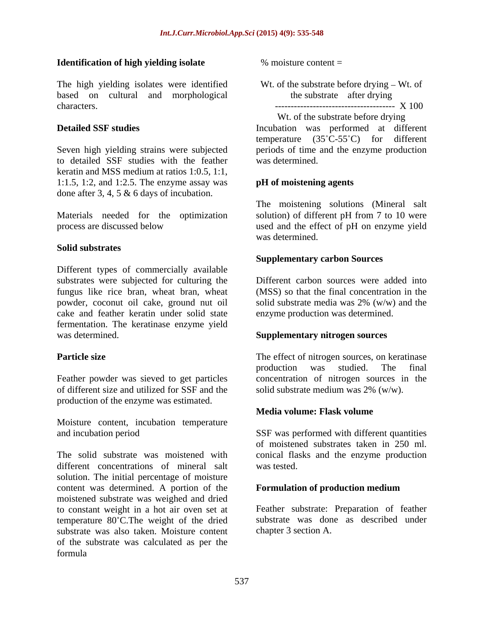#### **Identification of high yielding isolate**

The high yielding isolates were identified based on cultural and morphological the substrate after drying characters. -------------------------------------- X 100

to detailed SSF studies with the feather keratin and MSS medium at ratios 1:0.5, 1:1, 1:1.5, 1:2, and 1:2.5. The enzyme assay was done after 3, 4, 5 & 6 days of incubation.

#### **Solid substrates**

Different types of commercially available substrates were subjected for culturing the fungus like rice bran, wheat bran, wheat powder, coconut oil cake, ground nut oil cake and feather keratin under solid state fermentation. The keratinase enzyme yield was determined. **Supplementary nitrogen sources**

of different size and utilized for SSF and the production of the enzyme was estimated.

Moisture content, incubation temperature

The solid substrate was moistened with conical flasks and the enzyme production different concentrations of mineral salt was tested solution. The initial percentage of moisture content was determined. A portion of the **Formulation of production medium** moistened substrate was weighed and dried to constant weight in a hot air oven set at temperature 80°C. The weight of the dried substrate was also taken. Moisture content of the substrate was calculated as per the formula

 $%$  moisture content  $=$ 

Wt. of the substrate before drying  $-Wt$ . of the substrate after drying

**Detailed SSF studies** Incubation was performed at different Seven high yielding strains were subjected periods of time and the enzyme production Wt. of the substrate before drying temperature  $(35^{\circ}C - 55^{\circ}C)$  for different was determined.

### **pH of moistening agents**

Materials needed for the optimization solution) of different pH from 7 to 10 were process are discussed below used and the effect of pH on enzyme yield The moistening solutions (Mineral salt was determined.

#### **Supplementary carbon Sources**

Different carbon sources were added into (MSS) so that the final concentration in the solid substrate media was 2% (w/w) and the enzyme production was determined.

**Particle size** The effect of nitrogen sources, on keratinase Feather powder was sieved to get particles concentration of nitrogen sources in the production was studied. The final solid substrate medium was 2% (w/w).

### **Media volume: Flask volume**

and incubation period SSF was performed with different quantities of moistened substrates taken in 250 ml. was tested.

#### **Formulation of production medium**

Feather substrate: Preparation of feather substrate was done as described under chapter 3 section A.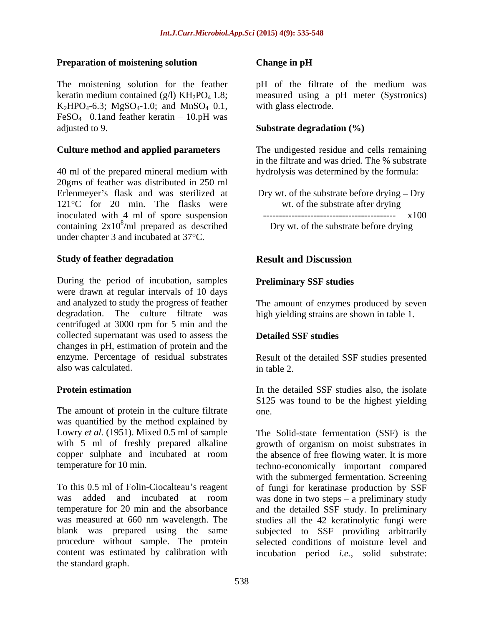#### **Preparation of moistening solution**

The moistening solution for the feather better of the filtrate of the medium was keratin medium contained (g/l) KH<sub>2</sub>PO<sub>4</sub> 1.8; measured using a pH meter (Systronics)  $K_2HPO_4 - 6.3$ ;  $MgSO_4 - 1.0$ ; and  $MnSO_4$  0.1, FeSO<sub>4 –</sub> 0.1and feather keratin – 10.pH was adjusted to 9. adjusted to 9. **Substrate degradation (%)** 

40 ml of the prepared mineral medium with 20gms of feather was distributed in 250 ml Erlenmeyer's flask and was sterilized at  $121^{\circ}$ C for 20 min. The flasks were wt. of the substrate after drying<br>inoculated with 4 ml of spore suspension inoculated with 4 ml of spore suspension containing  $2x10^8$ /ml prepared as described under chapter 3 and incubated at 37°C.

#### **Study of feather degradation**

During the period of incubation, samples were drawn at regular intervals of 10 days and analyzed to study the progress of feather The amount of enzymes produced by seven degradation. The culture filtrate was high yielding strains are shown in table 1. centrifuged at 3000 rpm for 5 min and the collected supernatant was used to assess the changes in pH, estimation of protein and the enzyme. Percentage of residual substrates Result of the detailed SSF studies presented also was calculated.

The amount of protein in the culture filtrate one. was quantified by the method explained by with 5 ml of freshly prepared alkaline

the standard graph.

#### **Change in pH**

pH of the filtrate of the medium was with glass electrode.

**Culture method and applied parameters** The undigested residue and cells remaining in the filtrate and was dried. The % substrate hydrolysis was determined by the formula:

> Dry wt. of the substrate before drying  $-$  Dry wt. of the substrate after drying ------------------------------------------ x100

/ml prepared as described Dry wt. of the substrate before drying

### **Result and Discussion**

#### **Preliminary SSF studies**

#### **Detailed SSF studies**

in table 2.

**Protein estimation** In the detailed SSF studies also, the isolate S125 was found to be the highest yielding one.

Lowry *et al.* (1951). Mixed 0.5 ml of sample The Solid-state fermentation (SSF) is the copper sulphate and incubated at room the absence of free flowing water. It is more temperature for 10 min. techno-economically important compared To this 0.5 ml of Folin-Ciocalteau's reagent of fungi for keratinase production by SSF was added and incubated at room was done in two steps – a preliminary study temperature for 20 min and the absorbance and the detailed SSF study. In preliminary was measured at 660 nm wavelength. The studies all the 42 keratinolytic fungi were blank was prepared using the same subjected to SSF providing arbitrarily procedure without sample. The protein selected conditions of moisture level and content was estimated by calibration with incubation period *i.e.*, solid substrate:growth of organism on moist substrates in with the submerged fermentation. Screening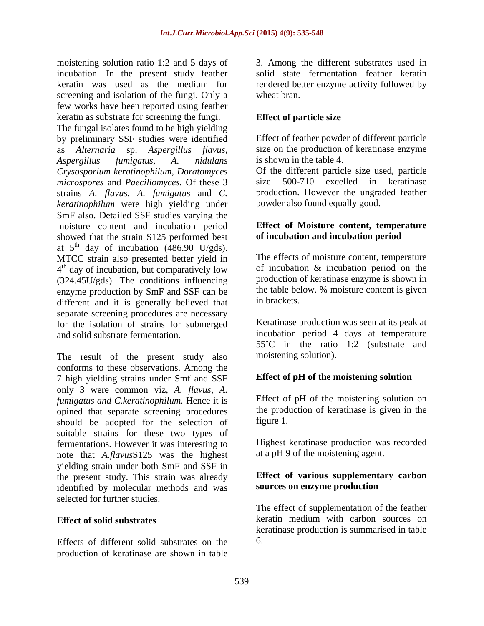moistening solution ratio 1:2 and 5 days of incubation. In the present study feather keratin was used as the medium for rendered better enzyme activity followed by screening and isolation of the fungi. Only a wheat bran. few works have been reported using feather keratin as substrate for screening the fungi.

The fungal isolates found to be high yielding by preliminary SSF studies were identified as *Alternaria* sp. *Aspergillus flavus,* size on the production of keratinase enzyme *Aspergillus fumigatus*, *A. nidulans Crysosporium keratinophilum, Doratomyces microspores* and *Paeciliomyces.* Of these 3 strains *A. flavus, A. fumigatus* and *C. keratinophilum* were high yielding under SmF also. Detailed SSF studies varying the moisture content and incubation period showed that the strain S125 performed best at  $5<sup>th</sup>$  day of incubation (486.90 U/gds). MTCC strain also presented better yield in 4<sup>th</sup> day of incubation, but comparatively low of incubation & incubation period on the (324.45U/gds). The conditions influencing enzyme production by SmF and SSF can be the table bel<br>different and it is generally believed that in brackets. different and it is generally believed that separate screening procedures are necessary for the isolation of strains for submerged and solid substrate fermentation. incubation period 4 days at temperature

The result of the present study also conforms to these observations. Among the 7 high yielding strains under Smf and SSF only 3 were common viz, *A. flavus, A. fumigatus and C.keratinophilum.* Hence it is opined that separate screening procedures the production of the selection of figure 1. should be adopted for the selection of suitable strains for these two types of<br>
fermentations However it was interesting to Highest keratinase production was recorded fermentations. However it was interesting to note that *A.flavus*S125 was the highest yielding strain under both SmF and SSF in the present study. This strain was already identified by molecular methods and was selected for further studies.

Effects of different solid substrates on the production of keratinase are shown in table 3. Among the different substrates used in solid state fermentation feather keratin wheat bran.

### **Effect of particle size**

Effect of feather powder of different particle is shown in the table 4.

Of the different particle size used, particle 500-710 excelled in keratinase production. However the ungraded feather powder also found equally good.

### **Effect of Moisture content, temperature of incubation and incubation period**

The effects of moisture content, temperature of incubation & incubation period on the production of keratinase enzyme is shown in the table below. % moisture content is given in brackets.

Keratinase production was seen at its peak at 55 C in the ratio 1:2 (substrate and moistening solution).

### **Effect of pH of the moistening solution**

Effect of pH of the moistening solution on the production of keratinase is given in the

figure 1.<br>Highest keratinase production was recorded at a pH 9 of the moistening agent.

#### **Effect of various supplementary carbon sources on enzyme production**

**Effect of solid substrates** keratin medium with carbon sources on The effect of supplementation of the feather keratinase production is summarised in table 6.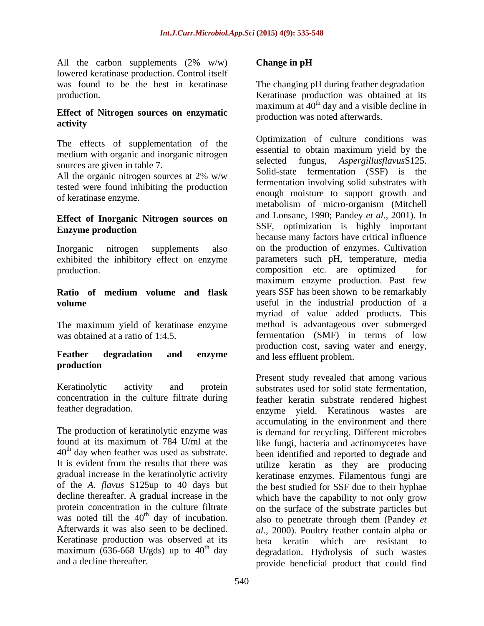All the carbon supplements  $(2\% \t w/w)$  Change in pH lowered keratinase production. Control itself was found to be the best in keratinase The changing pH during feather degradation production. Keratinase production was obtained at its

### **Effect of Nitrogen sources on enzymatic activity**

The effects of supplementation of the medium with organic and inorganic nitrogen sources are given in table 7.

All the organic nitrogen sources at 2% w/w tested were found inhibiting the production

# **Effect of Inorganic Nitrogen sources on**

The maximum yield of keratinase enzyme

## **production**

 $40<sup>th</sup>$  day when feather was used as substrate.

### **Change in pH**

maximum at  $40<sup>th</sup>$  day and a visible decline in production was noted afterwards.

of keratinase enzyme. enough moisture to support growth and **Enzyme production Enzyme production Enzyme production** Inorganic nitrogen supplements also on the production of enzymes. Cultivation exhibited the inhibitory effect on enzyme parameters such pH, temperature, media production. composition etc. are optimized for **Ratio of medium volume and flask volume** useful in the industrial production of a was obtained at a ratio of 1:4.5. fermentation (SMF) in terms of low **Feather degradation and enzyme** *and* **less effluent problem** Optimization of culture conditions was essential to obtain maximum yield by the selected fungus, *Aspergillusflavus*S125. Solid-state fermentation (SSF) is the fermentation involving solid substrates with metabolism of micro-organism (Mitchell and Lonsane, 1990; Pandey *et al.,* 2001). In SSF, optimization is highly important because many factors have critical influence maximum enzyme production. Past few years SSF has been shown to be remarkably myriad of value added products. This method is advantageous over submerged production cost, saving water and energy, and less effluent problem.

Keratinolytic activity and protein substrates used for solid state fermentation, concentration in the culture filtrate during feather keratin substrate rendered highest feather degradation. enzyme yield. Keratinous wastes are The production of keratinolytic enzyme was is demand for recycling. Different microbes found at its maximum of 784 U/ml at the like fungi, bacteria and actinomycetes have It is evident from the results that there was utilize keratin as they are producing gradual increase in the keratinolytic activity keratinase enzymes. Filamentous fungi are of the *A. flavus* S125up to 40 days but the best studied for SSF due to their hyphae decline thereafter. A gradual increase in the which have the capability to not only grow protein concentration in the culture filtrate on the surface of the substrate particles but was noted till the  $40<sup>th</sup>$  day of incubation. also to penetrate through them (Pandey *et* Afterwards it was also seen to be declined. *al.,* 2000). Poultry feather contain alpha or Keratinase production was observed at its beta keratin which are resistant to  $maximum$  (636-668 U/gds) up to  $40<sup>th</sup>$  day degradation. Hydrolysis of such wastes and a decline thereafter. provide beneficial product that could findPresent study revealed that among various accumulating in the environment and there been identified and reported to degrade and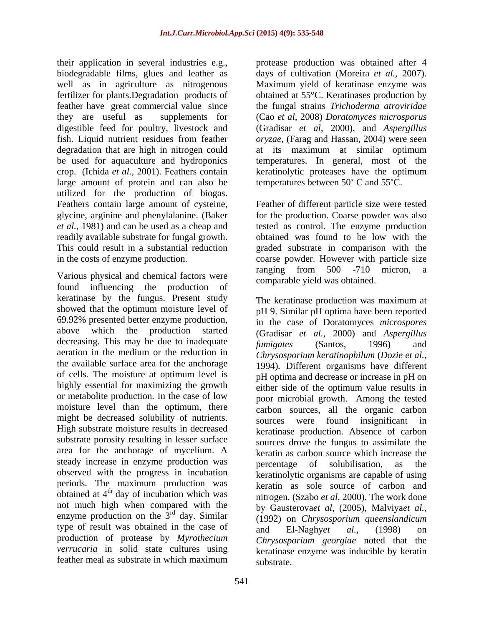their application in several industries e.g., protease production was obtained after 4 biodegradable films, glues and leather as well as in agriculture as nitrogenous Maximum yield of keratinase enzyme was fertilizer for plants.Degradation products of obtained at 55°C. Keratinases production by feather have great commercial value since the fungal strains *Trichoderma atroviridae* they are useful as supplements for (Cao *et al*, 2008) *Doratomyces microsporus* digestible feed for poultry, livestock and fish. Liquid nutrient residues from feather *oryzae*, (Farag and Hassan, 2004) were seen degradation that are high in nitrogen could at its maximum at similar optimum be used for aquaculture and hydroponics temperatures. In general, most of the crop. (Ichida *et al.,* 2001). Feathers contain keratinolytic proteases have the optimum large amount of protein and can also be utilized for the production of biogas. Feathers contain large amount of cysteine, Feather of different particle size were tested glycine, arginine and phenylalanine. (Baker for the production. Coarse powder was also *et al.,* 1981) and can be used as a cheap and tested as control. The enzyme production readily available substrate for fungal growth. This could result in a substantial reduction graded substrate in comparison with the in the costs of enzyme production. coarse powder. However with particle size

found influencing the production of comparance follows between. keratinase by the fungus. Present study showed that the optimum moisture level of decreasing. This may be due to inadequate fumigates (Santos, 1996) and aeration in the medium or the reduction in the available surface area for the anchorage of cells. The moisture at optimum level is or metabolite production. In the case of low might be decreased solubility of nutrients. Sources were found insignificant in High substrate moisture results in decreased substrate porosity resulting in lesser surface area for the anchorage of mycelium. A steady increase in enzyme production was percentage of solubilisation, as the observed with the progress in incubation periods. The maximum production was obtained at 4<sup>th</sup> day of incubation which was not much high when compared with the enzyme production on the  $3<sup>rd</sup>$  day. Similar type of result was obtained in the case of  $\qquad$  and  $\qquad$  El-Naghyet al., (1998) on production of protease by *Myrothecium verrucaria* in solid state cultures using<br>feather meal as substrate in which maximum

days of cultivation (Moreira *et al.,* 2007). (Gradisar *et al*, 2000), and *Aspergillus* temperatures between  $50^{\circ}$  C and  $55^{\circ}$ C.

Various physical and chemical factors were ranging from 500 -710 micron, a obtained was found to be low with the ranging from 500 -710 micron, a comparable yield was obtained.

69.92% presented better enzyme production, in the case of Doratomyces *microspores*  above which the production started (Gradisar *et al.,* 2000) and *Aspergillus* highly essential for maximizing the growth either side of the optimum value results in moisture level than the optimum, there carbon sources, all the organic carbon th day of incubation which was nitrogen. (Szabo *et al*, 2000). The work done rd day. Similar (1992) on *Chrysosporium queenslandicum* feather meal as substrate in which maximum<br>substrate The keratinase production was maximum at pH 9. Similar pH optima have been reported *fumigates* (Santos, 1996) and *Chrysosporium keratinophilum* (*Dozie et al.,* 1994)*.* Different organisms have different pH optima and decrease or increase in pH on poor microbial growth. Among the tested sources were found insignificant in keratinase production. Absence of carbon sources drove the fungus to assimilate the keratin as carbon source which increase the percentage of solubilisation, as the keratinolytic organisms are capable of using keratin as sole source of carbon and by Gausterova*et al*, (2005), Malviya*et al.,* and El-Naghy*et al.,* (1998) on *Chrysosporium georgiae* noted that the keratinase enzyme was inducible by keratin substrate.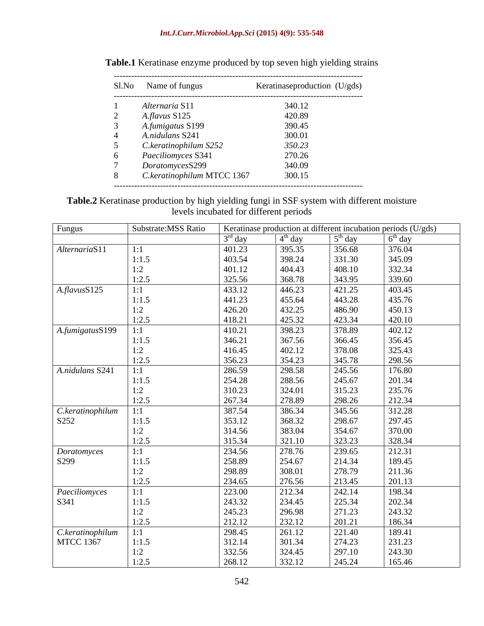### *Int.J.Curr.Microbiol.App.Sci* **(2015) 4(9): 535-548**

|   | Sl.No Name of fungus       | Keratinaseproduction (U/gds) |
|---|----------------------------|------------------------------|
|   | Alternaria S11             | 340.12                       |
| ∠ | A.flavus S125              | 420.89                       |
|   | A.fumigatus S199           | 390.45                       |
|   | A.nidulans S241            | 300.01                       |
|   | C.keratinophilum S252      | 350.23                       |
| 6 | Paeciliomyces S341         | 270.26                       |
|   | DoratomycesS299            | 340.09                       |
|   | C.keratinophilum MTCC 1367 | 300.15                       |

### **Table.1** Keratinase enzyme produced by top seven high yielding strains

**Table.2** Keratinase production by high yielding fungi in SSF system with different moisture levels incubated for different periods

| Fungus              | Substrate: MSS Ratio |           |           |           | Keratinase production at different incubation periods (U/gds) |
|---------------------|----------------------|-----------|-----------|-----------|---------------------------------------------------------------|
|                     |                      | $3rd$ day | $4th$ day | $5th$ day | $6th$ day                                                     |
| AlternariaS11       | 1:1                  | 401.23    | 395.35    | 356.68    | 376.04                                                        |
|                     | 1:1.5                | 403.54    | 398.24    | 331.30    | 345.09                                                        |
|                     | 1:2                  | 401.12    | 404.43    | 408.10    | 332.34                                                        |
|                     | 1:2.5                | 325.56    | 368.78    | 343.95    | 339.60                                                        |
| $A$ .flavus $S125$  | 1:1                  | 433.12    | 446.23    | 421.25    | 403.45                                                        |
|                     | 1:1.5                | 441.23    | 455.64    | 443.28    | 435.76                                                        |
|                     | 1:2                  | 426.20    | 432.25    | 486.90    | 450.13                                                        |
|                     | 1:2.5                | 418.21    | 425.32    | 423.34    | 420.10                                                        |
| A.fumigatusS199     | 1:1                  | 410.21    | 398.23    | 378.89    | 402.12                                                        |
|                     | 1:1.5                | 346.21    | 367.56    | 366.45    | 356.45                                                        |
|                     | 1:2                  | 416.45    | 402.12    | 378.08    | 325.43                                                        |
|                     | 1:2.5                | 356.23    | 354.23    | 345.78    | 298.56                                                        |
| A.nidulans S241     | 1:1                  | 286.59    | 298.58    | 245.56    | 176.80                                                        |
|                     | 1:1.5                | 254.28    | 288.56    | 245.67    | 201.34                                                        |
|                     | 1:2                  | 310.23    | 324.01    | 315.23    | 235.76                                                        |
|                     | 1:2.5                | 267.34    | 278.89    | 298.26    | 212.34                                                        |
| C.keratinophilum    | 1:1                  | 387.54    | 386.34    | 345.56    | 312.28                                                        |
| S252                | 1:1.5                | 353.12    | 368.32    | 298.67    | 297.45                                                        |
|                     | 1:2                  | 314.56    | 383.04    | 354.67    | 370.00                                                        |
|                     | 1:2.5                | 315.34    | 321.10    | 323.23    | 328.34                                                        |
| Doratomyces         | 1:1                  | 234.56    | 278.76    | 239.65    | 212.31                                                        |
| S299                | 1:1.5                | 258.89    | 254.67    | 214.34    | 189.45                                                        |
|                     | 1:2                  | 298.89    | 308.01    | 278.79    | 211.36                                                        |
|                     | 1:2.5                | 234.65    | 276.56    | 213.45    | 201.13                                                        |
| Paeciliomyces       | 1:1                  | 223.00    | 212.34    | 242.14    | 198.34                                                        |
| S341                | 1:1.5                | 243.32    | 234.45    | 225.34    | 202.34                                                        |
|                     | 1:2                  | 245.23    | 296.98    | 271.23    | 243.32                                                        |
|                     | 1:2.5                | 212.12    | 232.12    | 201.21    | 186.34                                                        |
| $\sqrt{C}.keration$ | 1:1                  | 298.45    | 261.12    | 221.40    | 189.41                                                        |
| <b>MTCC 1367</b>    | 1:1.5                | 312.14    | 301.34    | 274.23    | 231.23                                                        |
|                     | 1:2                  | 332.56    | 324.45    | 297.10    | 243.30                                                        |
|                     | 1:2.5                | 268.12    | 332.12    | 245.24    | 165.46                                                        |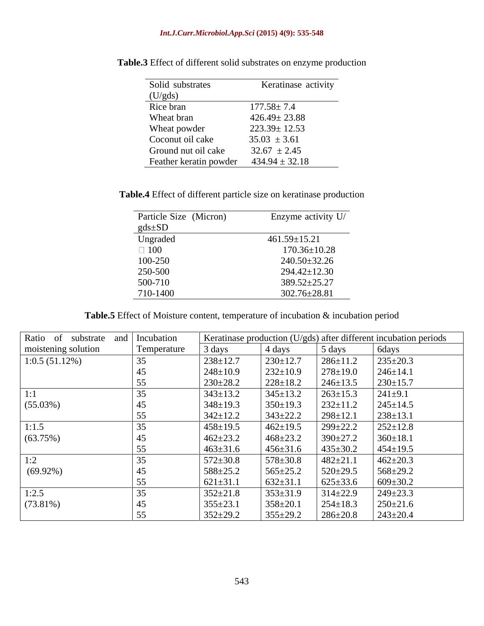#### *Int.J.Curr.Microbiol.App.Sci* **(2015) 4(9): 535-548**

| Solid substrates       | Keratinase activity |
|------------------------|---------------------|
| (U/gds)                |                     |
| Rice bran              | $177.58 \pm 7.4$    |
| Wheat bran             | $426.49 \pm 23.88$  |
| Wheat powder           | $223.39 \pm 12.53$  |
| Coconut oil cake       | $35.03 \pm 3.61$    |
| Ground nut oil cake    | $32.67 \pm 2.45$    |
| Feather keratin powder | $434.94 \pm 32.18$  |

**Table.3** Effect of different solid substrates on enzyme production

**Table.4** Effect of different particle size on keratinase production

| Particle Size (Micron) | Enzyme activity U/ |
|------------------------|--------------------|
| $gds \pm SD$           |                    |
| Ungraded               | $461.59 \pm 15.21$ |
| $\Box$ 100             | $170.36 \pm 10.28$ |
| 100-250                | 240.50±32.26       |
| 250-500                | 294.42±12.30       |
| 500-710                | 389.52±25.27       |
| 710-1400               | 302.76±28.81       |

**Table.5** Effect of Moisture content, temperature of incubation & incubation period

| Ratio of<br>substrate<br>and | Incubation  |                |                |                | Keratinase production (U/gds) after different incubation periods |
|------------------------------|-------------|----------------|----------------|----------------|------------------------------------------------------------------|
| moistening solution          | Temperature | 3 days         | 4 days         | 5 days         | 6days                                                            |
| 1:0.5(51.12%)                | 35          | $238 + 12.7$   | $230 \pm 12.7$ | $286 \pm 11.2$ | $235 \pm 20.3$                                                   |
|                              |             | $248 \pm 10.9$ | $232 \pm 10.9$ | $278 \pm 19.0$ | $246 \pm 14.1$                                                   |
|                              |             | $230 \pm 28.2$ | $228 \pm 18.2$ | $246 \pm 13.5$ | $230 \pm 15.7$                                                   |
|                              |             | $343 \pm 13.2$ | $345 \pm 13.2$ | $263 \pm 15.3$ | $241 \pm 9.1$                                                    |
| (55.03%)                     |             | $348 \pm 19.3$ | $350 \pm 19.3$ | $232 \pm 11.2$ | $245 \pm 14.5$                                                   |
|                              |             | $342 \pm 12.2$ | $343 \pm 22.2$ | $298 \pm 12.1$ | $238 \pm 13.1$                                                   |
| 1:1.5                        |             | $458 \pm 19.5$ | $462 \pm 19.5$ | 299±22.2       | $252 \pm 12.8$                                                   |
| (63.75%)                     |             | $462 \pm 23.2$ | $468 \pm 23.2$ | $390 \pm 27.2$ | $360 \pm 18.1$                                                   |
|                              |             | $463 \pm 31.6$ | $456 \pm 31.6$ | $435 \pm 30.2$ | $454 \pm 19.5$                                                   |
| 1:2                          |             | $572 \pm 30.8$ | $578 \pm 30.8$ | $482 \pm 21.1$ | $462 \pm 20.3$                                                   |
| $(69.92\%)$                  |             | $588 \pm 25.2$ | $565 \pm 25.2$ | $520 \pm 29.5$ | $568 \pm 29.2$                                                   |
|                              |             | $621 \pm 31.1$ | $632 \pm 31.1$ | $625 \pm 33.6$ | $609 \pm 30.2$                                                   |
| 1:2.5                        |             | $352 \pm 21.8$ | $353 \pm 31.9$ | $314 \pm 22.9$ | $249 \pm 23.3$                                                   |
| $(73.81\%)$                  |             | $355 \pm 23.1$ | $358 \pm 20.1$ | $254 \pm 18.3$ | $250 \pm 21.6$                                                   |
|                              |             | $352 \pm 29.2$ | $355 \pm 29.2$ | $286 \pm 20.8$ | $243 \pm 20.4$                                                   |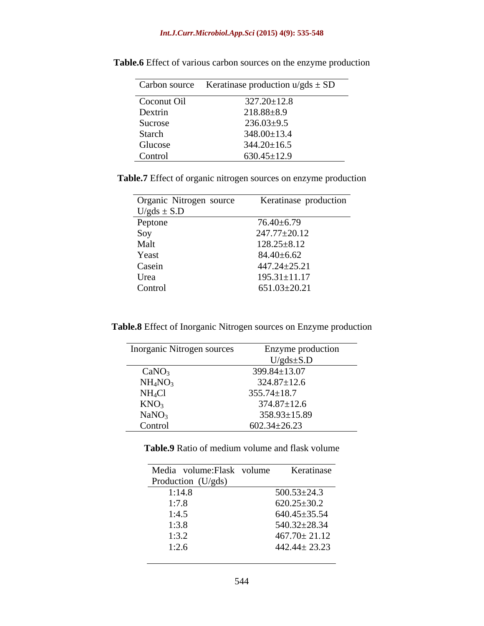|             | Carbon source Keratinase production $u/gds \pm SD$ |
|-------------|----------------------------------------------------|
| Coconut Oil | $327.20 \pm 12.8$                                  |
| Dextrin     | $218.88 \pm 8.9$                                   |
| Sucrose     | $236.03 \pm 9.5$                                   |
| Starch      | $348.00 \pm 13.4$                                  |
| Glucose     | $344.20 \pm 16.5$                                  |
| Control     | $630.45 \pm 12.9$                                  |

**Table.6** Effect of various carbon sources on the enzyme production

**Table.7** Effect of organic nitrogen sources on enzyme production

| Organic Nitrogen source | Keratinase production |
|-------------------------|-----------------------|
| $U/gds \pm S.D$         |                       |
| Peptone                 | 76.40±6.79            |
| Soy                     | 247.77±20.12          |
| Malt                    | $128.25 \pm 8.12$     |
| Yeast                   | $84.40{\pm}6.62$      |
| Casein                  | $447.24 \pm 25.21$    |
| Urea                    | $195.31 \pm 11.17$    |
| Control                 | $651.03 \pm 20.21$    |

**Table.8** Effect of Inorganic Nitrogen sources on Enzyme production

| <b>Inorganic Nitrogen sources</b> | Enzyme production  |
|-----------------------------------|--------------------|
|                                   | $U/gds \pm S.D$    |
| CaNO <sub>3</sub>                 | 399.84±13.07       |
| NH <sub>4</sub> NO <sub>3</sub>   | $324.87 \pm 12.6$  |
| NH <sub>4</sub> Cl                | $355.74 \pm 18.7$  |
| KNO <sub>3</sub>                  | $374.87 \pm 12.6$  |
| NaNO <sub>3</sub>                 | $358.93 \pm 15.89$ |
| Control                           | $602.34 \pm 26.23$ |

**Table.9** Ratio of medium volume and flask volume

| Media volume: Flask volume      | Keratinase         |
|---------------------------------|--------------------|
| Production (U/gds)              |                    |
| $\frac{1:14.8}{1:7.8}$<br>1:3.5 | $500.53 \pm 24.3$  |
|                                 | $620.25 \pm 30.2$  |
|                                 | $640.45 \pm 35.54$ |
|                                 | 540.32±28.34       |
| $1:3.8$<br>$1:3.2$              | $467.70 \pm 21.12$ |
| 1:2.6                           | $442.44 \pm 23.23$ |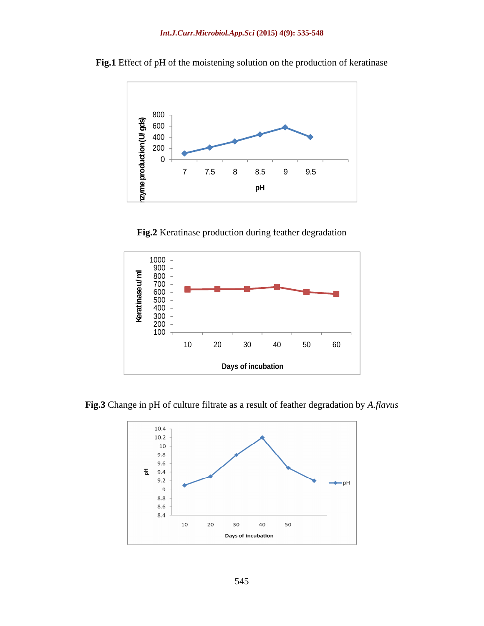

**Fig.1** Effect of pH of the moistening solution on the production of keratinase

**Fig.2** Keratinase production during feather degradation



**Fig.3** Change in pH of culture filtrate as a result of feather degradation by *A.flavus*

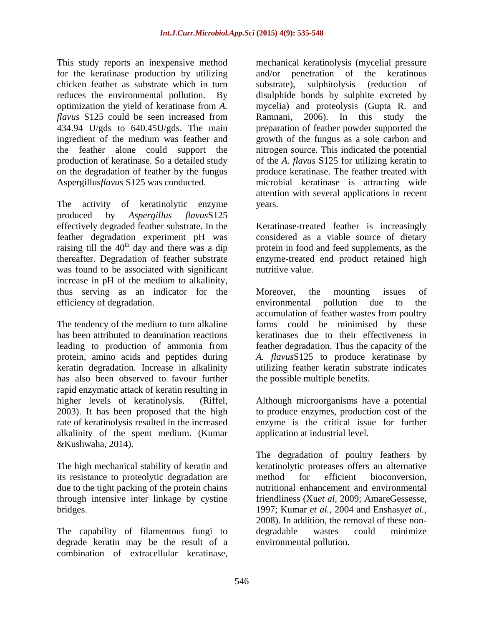This study reports an inexpensive method mechanical keratinolysis (mycelial pressure for the keratinase production by utilizing and/or penetration of the keratinous chicken feather as substrate which in turn substrate), sulphitolysis (reduction of optimization the yield of keratinase from *A. flavus* S125 could be seen increased from Ramnani, 2006). In this study the production of keratinase. So a detailed study on the degradation of feather by the fungus

The activity of keratinolytic enzyme vears. produced by *Aspergillus flavus*S125 effectively degraded feather substrate. In the Keratinase-treated feather is increasingly feather degradation experiment pH was considered as a viable source of dietary raising till the  $40<sup>th</sup>$  day and there was a dip protein in food and feed supplements, as the thereafter. Degradation of feather substrate was found to be associated with significant mutritive value. increase in pH of the medium to alkalinity, thus serving as an indicator for the Moreover, the mounting issues of efficiency of degradation. The environmental pollution due to the

has also been observed to favour further rapid enzymatic attack of keratin resulting in higher levels of keratinolysis. (Riffel, Although microorganisms have a potential 2003). It has been proposed that the high to produce enzymes, production cost of the rate of keratinolysis resulted in the increased alkalinity of the spent medium. (Kumar &Kushwaha, 2014).

The high mechanical stability of keratin and its resistance to proteolytic degradation are method for efficient bioconversion, due to the tight packing of the protein chains

degrade keratin may be the result of a

reduces the environmental pollution. By disulphide bonds by sulphite excreted by 434.94 U/gds to 640.45U/gds. The main preparation of feather powder supported the ingredient of the medium was feather and growth of the fungus as a sole carbon and the feather alone could support the nitrogen source. This indicated the potential Aspergillus*flavus* S125 was conducted. microbial keratinase is attracting wide This study report an interspeake method masslessive method in the<br>baselinar form is a substitute of the location of the location of the<br>duchase for entromonomic points on the state of the state of the state<br>of the field a and/or penetration of the keratinous substrate), sulphitolysis (reduction of mycelia) and proteolysis (Gupta R. and Ramnani, 2006). In this study the of the *A. flavus* S125 for utilizing keratin to produce keratinase. The feather treated with attention with several applications in recent years.

enzyme-treated end product retained high nutritive value.

The tendency of the medium to turn alkaline farms could be minimised by these has been attributed to deamination reactions keratinases due to their effectiveness in leading to production of ammonia from feather degradation. Thus the capacity of the protein, amino acids and peptides during *A. flavus*S125 to produce keratinase by keratin degradation. Increase in alkalinity utilizing feather keratin substrate indicates Moreover, the mounting issues of environmental pollution due to the accumulation of feather wastes from poultry the possible multiple benefits.

> enzyme is the critical issue for further application at industrial level.

through intensive inter linkage by cystine friendliness (Xu*et al*, 2009; AmareGessesse, bridges. 1997; Kumar *et al.,* 2004 and Enshasy*et al.,* The capability of filamentous fungi to degradable wastes could minimize The degradation of poultry feathers by keratinolytic proteases offers an alternative method for efficient bioconversion, nutritional enhancement and environmental 2008). In addition, the removal of these non degradable wastes could minimize environmental pollution.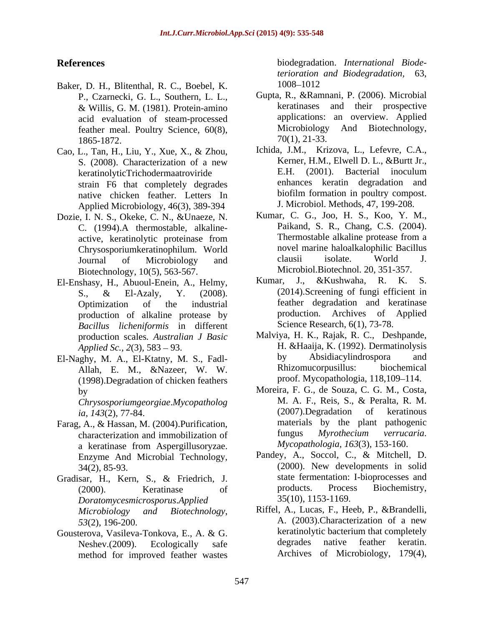- Baker, D. H., Blitenthal, R. C., Boebel, K. P., Czarnecki, G. L., Southern, L. L., & Willis, G. M. (1981). Protein-amino acid evaluation of steam-processed feather meal. Poultry Science, 60(8), Microbiology<br>1865-1872 70(1), 21-33.  $1865-1872.$   $70(1), 21-33.$
- Cao, L., Tan, H., Liu, Y., Xue, X., & Zhou, strain F6 that completely degrades native chicken feather. Letters In Applied Microbiology, 46(3), 389-394
- Dozie, I. N. S., Okeke, C. N., &Unaeze, N. Biotechnology, 10(5), 563-567. Microbiol.Biotechnol. 20, 351-357.<br>Schasy H. Abuoul-Enein A. Helmy Kumar, J., & Kushwaha, R. K.
- production of alkaline protease by *Bacillus licheniformis* in different production scales*. Australian J Basic*
- Allah, E. M., &Nazeer, W. W. (1998).Degradation of chicken feathers

*ia*, *143*(2), 77-84.

- Farag, A., & Hassan, M. (2004). Purification, materials by the plant pathogenic<br>characterization and immobilization of fungus *Myrothecium verrucaria*. characterization and immobilization of a keratinase from Aspergillusoryzae. *Mycopathologia, 163*(3), 153-160. Enzyme And Microbial Technology,
- *Doratomycesmicrosporus*.*Applied*
- Gousterova, Vasileva-Tonkova, E., A. & G.<br>Neshey (2009) Ecologically safe degrades native feather keratin. method for improved feather wastes

**References** biodegradation. *International Biodeterioration and Biodegradation,* 63, 1008–1012

- Gupta, R., &Ramnani, P. (2006). Microbial keratinases and their prospective applications: an overview. Applied Microbiology And Biotechnology, 70(1), 21-33.
- S. (2008). Characterization of a new Kerner, H.M., Elwell D. L., &Burtt Jr., keratinolyticTrichodermaatroviride E.H. (2001). Bacterial inoculum Ichida, J.M., Krizova, L., Lefevre, C.A., Kerner, H.M., Elwell D. L., &Burtt Jr., E.H. (2001). Bacterial inoculum enhances keratin degradation and biofilm formation in poultry compost. J. Microbiol. Methods, 47, 199-208.
- C. (1994). A thermostable, alkaline-<br>active keratinolytic proteinase from Thermostable alkaline protease from a active, keratinolytic proteinase from Thermostable alkaline protease from a Chrysosporiumkeratinophilum. World novel marine haloalkalophilic Bacillus<br>
Lournal of Microbiology and clausii isolate. World J. Journal of Microbiology and clausii isolate. World J. Kumar, C. G., Joo, H. S., Koo, Y. M., Paikand, S. R., Chang, C.S. (2004). Thermostable alkaline protease from a novel marine haloalkalophilic Bacillus clausii isolate. World J. Microbiol.Biotechnol. 20, 351-357.
- El-Enshasy, H., Abuoul-Enein, A., Helmy, S., & El-Azaly, Y. (2008). (2014). Screening of fungi efficient in Optimization of the industrial feather degradation and keratinase J., &Kushwaha, (2014).Screening of fungi efficient in production. Archives of Applied Science Research, 6(1), 73-78.
- *Applied Sc., 2*(3), 583 93. H. &Haaija, K. (1992). Dermatinolysis El-Naghy, M. A., El-Ktatny, M. S., Fadl-<br>Allah F. M. &Nazeer W. W. Rhizomucorpusillus: biochemical Malviya, H. K., Rajak, R. C., Deshpande, by Absidiacylindrospora and Rhizomucorpusillus: proof. Mycopathologia, 118,109–114.
	- by Moreira, F. G., de Souza, C. G. M., Costa, *Chrysosporiumgeorgiae.Mycopatholog* M. A. F., Reis, S., & Peralta, R. M. ia. 143(2) 77-84 (2007).Degradation of keratinous M. A. F., Reis, S., & Peralta, R. M. (2007).Degradation of keratinous materials by the plant pathogenic fungus *Myrothecium verrucaria*. *Mycopathologia*, *163*(3), 153-160.
- 34(2), 85-93. (2000). New developments in solid Gradisar, H., Kern, S., & Friedrich, J. state fermentation: I-bioprocesses and (2000) Keratinase of products. Process Biochemistry, (2000). Keratinase of products. Process Biochemistry, Pandey, A., Soccol, C., & Mitchell, D. state fermentation: I-bioprocesses and products. Process Biochemistry, 35(10), 1153-1169.
	- *Microbiology and Biotechnology*, Riffel, A., Lucas, F., Heeb, P., &Brandelli, *53*(2), 196-200. **A.** (2003). Characterization of a new Neshev.(2009). Ecologically safe begrades native feather keratin. A. (2003).Characterization of a new keratinolytic bacterium that completely degrades native feather keratin. Archives of Microbiology, 179(4),